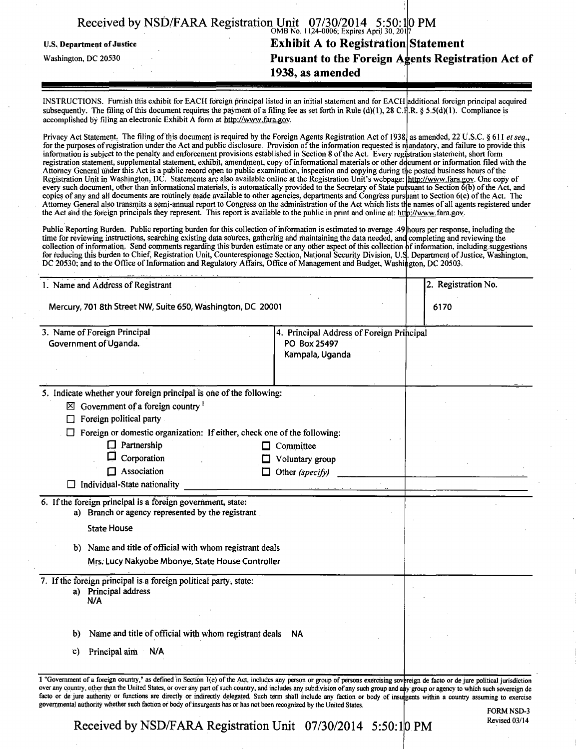|                            | Received by NSD/FARA Registration Unit $07/30/2014$ 5:50:10 PM |  |
|----------------------------|----------------------------------------------------------------|--|
| U.S. Department of Justice | <b>Exhibit A to Registration Statement</b>                     |  |
| Washington, DC 20530       | Pursuant to the Foreign Agents Registration Act of             |  |
|                            | 1938, as amended                                               |  |
|                            |                                                                |  |

INSTRUCTIONS. Furnish this exhibit for EACH foreign principal listed in an initial statement and for EACH additional foreign principal acquired subsequently. The filing of this document requires the payment of a filing fee as set forth in Rule (d)(1), 28 C.H.R. § 5.5(d)(1). Compliance is accomplished by filing an electronic Exhibit A form at http://www.fara.gov.

Attorney General under this Act is a public record open to public examination, inspection and copying during the po Privacy Act Statement. The filing of this document is required by the Foreign Agents Registration Act of 1938, as amended, 22 U.S.C. § 611 et seq., *for the purposes of registration under the Act and public disclosure. Provision of the information requested is mand information is subject to the penalty and enforcement provisions established in Section 8 of the Act. Every registration stater* registration statement, supplemental statement, exhibit, amendment, copy of informational materials or other document or information filed with the Registration Unit in Washington, DC. Statements are also available online at the Registration Unit's webpage: *[http:/ every such document, other than informational materials, is automatically provided to the Secretary of State pursuant to Sect* copies of any and all documents are routinely made available to other agencies, departments and Congress purs ant to Section 6(c) of the Act. The Attorney General also transmits a semi-annual report to Congress on the administration of the Act which lists the names of all agents registered under the Act and the foreign principals they represent. This report is available to the public in print and online at: http://www.fara.gov. njandatory, and failure to provide this statement, short form posted business hours of the http://www.fara.gov. One copy of to Section 6(b) of the Act, and

Public Reporting Burden. Public reporting burden for this collection of information is estimated to average .49 hours per response, including the time for reviewing instructions, searching existing data sources, gathering and maintaining the data needed, and completing and reviewing the collection of information. Send comments regarding this burden estimate or any other aspect of this collection for reducing this burden to Chief, Registration Unit, Counterespionage Section, National Security Division, U.S DC 20530; and to the Office of Information and Regulatory Affairs, Office of Management and Budget, Washington, )f information, including suggestions Department of Justice, Washington, :on, DC 20503.

| 1. Name and Address of Registrant<br>Mercury, 701 8th Street NW, Suite 650, Washington, DC 20001                                                                                  |                                                                              |  | 2. Registration No. |  |
|-----------------------------------------------------------------------------------------------------------------------------------------------------------------------------------|------------------------------------------------------------------------------|--|---------------------|--|
|                                                                                                                                                                                   |                                                                              |  | 6170                |  |
| 3. Name of Foreign Principal<br>Government of Uganda.                                                                                                                             | 4. Principal Address of Foreign Principal<br>PO Box 25497<br>Kampala, Uganda |  |                     |  |
| 5. Indicate whether your foreign principal is one of the following:<br>$\boxtimes$ Government of a foreign country $^1$<br>Foreign political party                                |                                                                              |  |                     |  |
| Foreign or domestic organization: If either, check one of the following:<br>Partnership<br>Corporation<br>U<br>Association<br>П<br>Individual-State nationality                   | $\Box$ Committee<br>Voluntary group<br>Other (specify)                       |  |                     |  |
| 6. If the foreign principal is a foreign government, state:<br>a) Branch or agency represented by the registrant<br><b>State House</b>                                            |                                                                              |  |                     |  |
| b) Name and title of official with whom registrant deals<br>Mrs. Lucy Nakyobe Mbonye, State House Controller                                                                      |                                                                              |  |                     |  |
| 7. If the foreign principal is a foreign political party, state:<br>Principal address<br>a)<br>N/A                                                                                |                                                                              |  |                     |  |
| Name and title of official with whom registrant deals<br>b)<br>Principal aim N/A<br>C)                                                                                            | <b>NA</b>                                                                    |  |                     |  |
| 1 "Government of a foreign country." as defined in Section (e) of the Act includes any person or group of persons exercising sovereign de facto or de jure political iurisdiction |                                                                              |  |                     |  |

1 "Government of a foreign country," as defined in Section 1(e) of the Act, includes any person or group of persons exercising sovereign de facto or de jure political jurisdiction over any country, other than the United St facto or de jure authority or functions are directly or indirectly delegated. Such term shall include any faction or body of insugents within a country assuming to exercise governmental authority whether such faction of body of insurgents has or has not been recognized by the United States. group or agency to which such sovereign de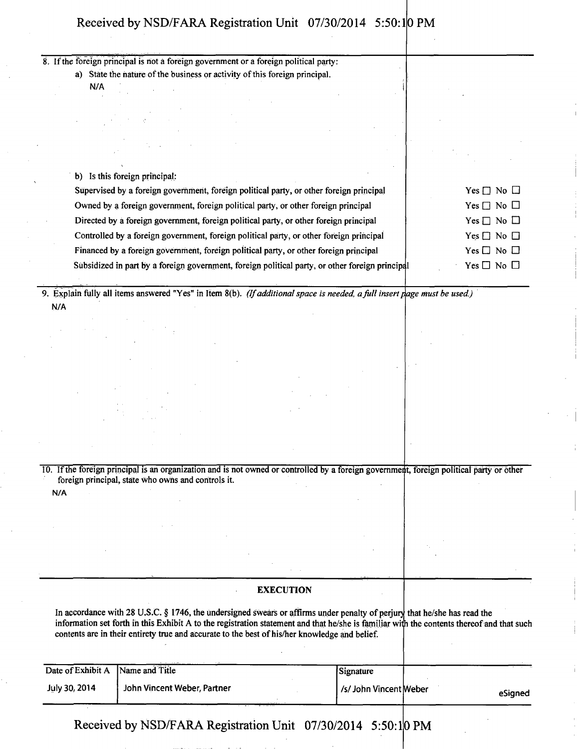| 8. If the foreign principal is not a foreign government or a foreign political party:                                                    |                  |                      |
|------------------------------------------------------------------------------------------------------------------------------------------|------------------|----------------------|
| a) State the nature of the business or activity of this foreign principal.                                                               |                  |                      |
| N/A                                                                                                                                      |                  |                      |
|                                                                                                                                          |                  |                      |
|                                                                                                                                          |                  |                      |
|                                                                                                                                          |                  |                      |
|                                                                                                                                          |                  |                      |
|                                                                                                                                          |                  |                      |
|                                                                                                                                          |                  |                      |
| b) Is this foreign principal:                                                                                                            |                  |                      |
| Supervised by a foreign government, foreign political party, or other foreign principal                                                  |                  | Yes $\Box$ No $\Box$ |
| Owned by a foreign government, foreign political party, or other foreign principal                                                       |                  | Yes $\Box$ No $\Box$ |
| Directed by a foreign government, foreign political party, or other foreign principal                                                    |                  | Yes $\Box$ No $\Box$ |
| Controlled by a foreign government, foreign political party, or other foreign principal                                                  |                  | $Yes \Box No \Box$   |
| Financed by a foreign government, foreign political party, or other foreign principal                                                    |                  | $Yes \Box No \Box$   |
| Subsidized in part by a foreign government, foreign political party, or other foreign principal                                          |                  | Yes $\Box$ No $\Box$ |
|                                                                                                                                          |                  |                      |
| 9. Explain fully all items answered "Yes" in Item 8(b). (If additional space is needed, a full insert page must be used.)                |                  |                      |
| N/A                                                                                                                                      |                  |                      |
|                                                                                                                                          |                  |                      |
|                                                                                                                                          |                  |                      |
|                                                                                                                                          |                  |                      |
|                                                                                                                                          |                  |                      |
|                                                                                                                                          |                  |                      |
|                                                                                                                                          |                  |                      |
|                                                                                                                                          |                  |                      |
|                                                                                                                                          |                  |                      |
|                                                                                                                                          |                  |                      |
|                                                                                                                                          |                  |                      |
| 10. If the foreign principal is an organization and is not owned or controlled by a foreign government, foreign political party or other |                  |                      |
| foreign principal, state who owns and controls it.                                                                                       |                  |                      |
| N/A                                                                                                                                      |                  |                      |
|                                                                                                                                          |                  |                      |
|                                                                                                                                          |                  |                      |
|                                                                                                                                          |                  |                      |
|                                                                                                                                          |                  |                      |
|                                                                                                                                          |                  |                      |
|                                                                                                                                          |                  |                      |
|                                                                                                                                          | <b>EXECUTION</b> |                      |

In accordance with 28 U.S.C. § 1746, the undersigned swears or affirms under penalty of perjury that he/she has read the information set forth in this Exhibit A to the registration statement and that he/she is familiar with the contents thereof and that such contents are in their entirety true and accurate to the best of his/her knowledge and belief.

| Date of Exhibit A Name and Title |                             | Signature             |         |
|----------------------------------|-----------------------------|-----------------------|---------|
| <b>July 30, 2014</b>             | John Vincent Weber, Partner | /s/John Vincent Weber | eSianed |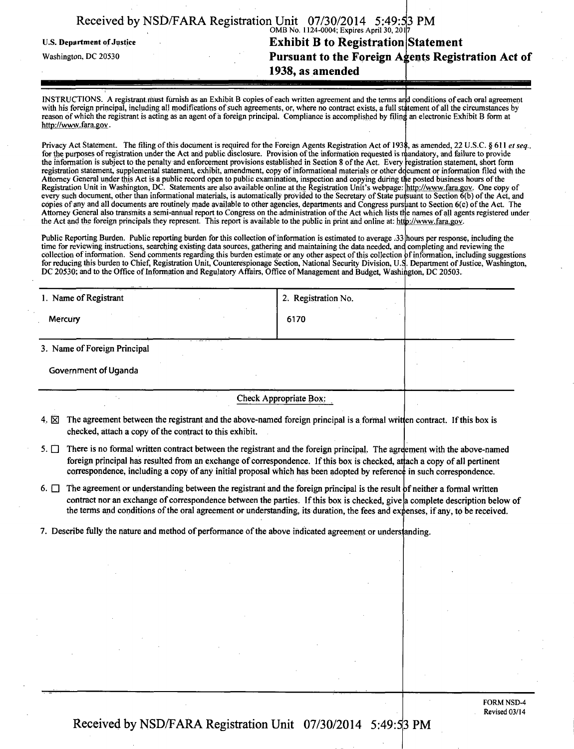| Received by NSD/FARA Registration Unit 07/30/2014 5:49:53 PM |  |  |
|--------------------------------------------------------------|--|--|
|                                                              |  |  |

U.S. Department of Justice

Washington, DC 20530

# OMB No. 1124-0004; Expires April 30, 201 **Exhibit B to Registration Statement Pursuant to the Foreign Agents Registration Act of**

**1938, as amended** 

INSTRUCTIONS. A registrant must furnish as an Exhibit B copies of each written agreement and the terms and conditions of each oral agreement with his foreign principal, including all modifications of such agreements, or, where no contract exists, a full statement of all the circumstances by reason of which the registrant is acting as an agent of a foreign principal. Compliance is accomplished by filing an electronic Exhibit B form at http://www.fara.gov.

Privacy Act Statement. The filing of this document is required for the Foreign Agents Registration Act of 1938, as amended, 22 U.S.C. § 611 et seq., for the purposes of registration under the Act and public disclosure. Provision of the information requested is mandatory, and failure to provide the information is subject to the penalty and enforcement provisions established in Section 8 of the Act. Every registration statement, short form registration statement, supplemental statement, exhibit, amendment, copy of informational materials or other decument or information filed with the Attorney General under this Act is a public record open to public examination, inspection and copying during the posted business hours of the Registration Unit in Washington, DC. Statements are also available online at the Registration Unit's webpage: http://www.fara.gov. One copy of every such document, other than informational materials, is automatically provided to the Secretary of State pursuant to Section 6(b) of the Act, and copies of any and all documents are routinely made available to other agencies, departments and Congress pursuant to Section 6(c) of the Act. The Attorney General also transmits a semi-annual report to Congress on the administration of the Act which lists the names of all agents registered under the Act and the foreign principals they represent. This report is available to the public in print and online at: http://www.fara.gov.

Public Reporting Burden. Public reporting burden for this collection of information is estimated to average .33 hours per response, including the time for reviewing instructions, searching existing data sources, gathering and maintaining the data needed, and completing and reviewing the collection of information. Send comments regarding this burden estimate or any other aspect of this collection for reducing this burden to Chief, Registration Unit, Counterespionage Section, National Security Division, U.: DC 20530; and to the Office of Information and Regulatory Affairs, Office of Management and Budget, Washington, DC 20503. )f information, including suggestions Department of Justice, Washington,

| 1. Name of Registrant        | 2. Registration No.    |  |
|------------------------------|------------------------|--|
| Mercury                      | 6170                   |  |
| 3. Name of Foreign Principal |                        |  |
| <b>Government of Uganda</b>  |                        |  |
|                              | Check Appropriate Box: |  |

- **4.**  The agreement between the registrant and the above-named foreign principal is a formal written contract. If this box is checked, attach a copy of the contract to this exhibit.
- $5.$  There is no formal written contract between the registrant and the foreign principal. The agreement with the above-named foreign principal has resulted from an exchange of correspondence. If this box is checked, attach a copy of all pertinent correspondence, including a copy of any initial proposal which has been adopted by reference in such correspondence.

6.  $\Box$  The agreement or understanding between the registrant and the foreign principal is the result of neither a formal written contract nor an exchange of correspondence between the parties. If this box is checked, give a complete description below of the terms and conditions of the oral agreement or understanding, its duration, the fees and expenses, if any, to be received.

7. Describe fully the nature and method of performance of the above indicated agreement or understanding.

FORM NSD-4 Revised 03/14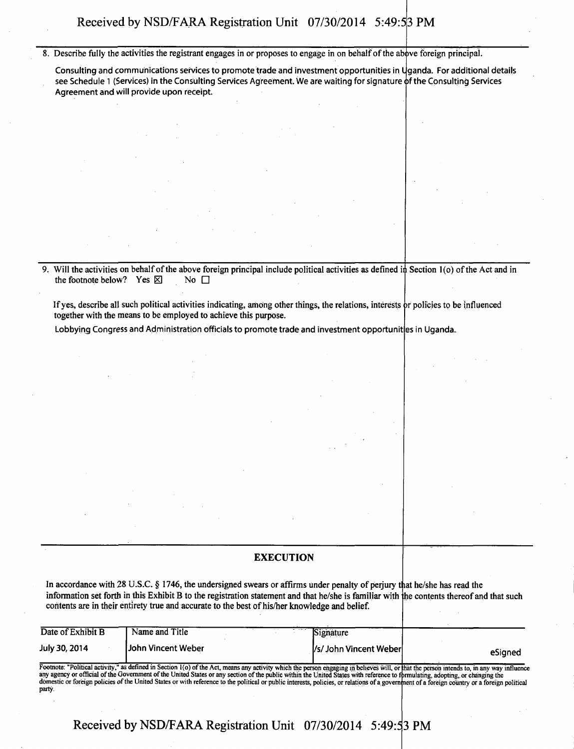8. Describe fully the activities the registrant engages in or proposes to engage in on behalf of the above foreign principal.

Consulting and communications services to promote trade and investment opportunities in Uganda. For additional details see Schedule 1 (Services) in the Consulting Services Agreement. We are waiting for signature of the Consulting Services Agreement and will provide upon receipt.

**9. Will the activities on behalf of the above foreign principal include political activities as defined**  in **Section l(o) of the Act and in**  the footnote below? Yes  $\boxtimes$  No  $\Box$ 

If yes, describe all such political activities indicating, among other things, the relations, interests or policies to be influenced **together with the means to be employed to achieve this purpose.** 

Lobbying Congress and Administration officials to promote trade and investment opportunit|es in Uganda. **I** 

### **EXECUTION**

In accordance with 28 U.S.C. § 1746, the undersigned swears or affirms under penalty of perjury that he/she has read the **information set forth in this Exhibit B to the registration statement and that he/she is familiar with he contents thereof and that such contents are in their entirety true and accurate to the best of his/her knowledge and belief.** 

| Date of Exhibit B    | Name and Title     | . | Signature                |         |
|----------------------|--------------------|---|--------------------------|---------|
| <b>July 30, 2014</b> | John Vincent Weber |   | [/s/ John Vincent Weber] | eSianed |

Footnote: "Political activity," as defined in Section 1(o) of the Act, means any activity which the person engaging in believes will, or that the paya agency or official of the Government of the United States or any sectio party. that the person intends to, in any way influence<br>formulating, adopting, or changing the<br>appent of a foreign country or a foreign political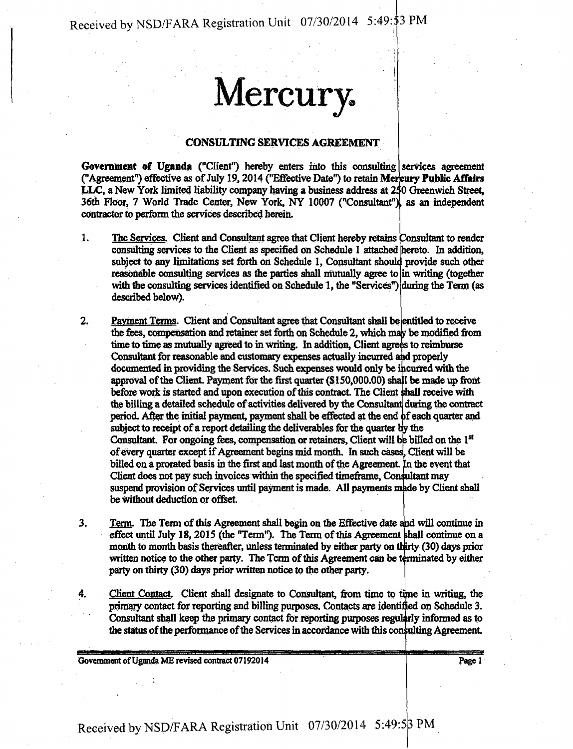# **Mercury.**

### CONSULTING SERVICES AGREEMENT

Government of Uganda ("Client") hereby enters into this consulting services agreement ("Agreement") effective as of July 19, 2014 ("Effective Date") to retain Mercury Public Affairs LLC, a New York limited liability company having a business address at 250 Greenwich Street, 36th Floor, 7 World Trade Center, New York, NY 10007 ("Consultant"), as an independent contractor to perform the services described herein.

- 1. The Services. Client and Consultant agree that Client hereby retains Consultant to render consulting services to the Client as specified on Schedule 1 attached hereto. In addition, subject to any limitations set forth on Schedule 1, Consultant should provide such other reasonable consulting services as the parties shall mutually agree to in writing (together with the consulting services identified on Schedule 1, the "Services") during the Term (as described below).
- 2. Payment Terms. Client and Consultant agree that Consultant shall be entitled to receive the fees, compensation and retainer set forth on Schedule 2, which may be modified from time to time as mutually agreed to in writing. In addition, Client agrees to reimburse Consultant for reasonable and customary expenses actually incurred and properly documented in providing the Services. Such expenses would only be incurred with the approval of the Client. Payment for the first quarter (\$150,000.00) shall be made up front before work is started and upon execution of this contract. The Client shall receive with the billing a detailed schedule of activities delivered by the Consultant during the contract period. After the initial payment, payment shall be effected at the end of each quarter and subject to receipt of a report detailing the deliverables for the quarter by the Consultant. For ongoing fees, compensation or retainers, Client will be billed on the 1st of every quarter except if Agreement begins mid month. In such cases, Client will be billed on a prorated basis in the first and last month of the Agreement. In the event that Client does not pay such invoices within the specified timeframe, Consultant may suspend provision of Services until payment is made. All payments made by Client shall be without deduction or offset
- **3.**  Term. The Term of this Agreement shall begin on the Effective date and Will continue in effect until July 18, 2015 (the "Term"). The Term of this Agreement shall continue on a month to month basis thereafter, unless terminated by either party on (30) days prior written notice to the other party. The Term of this Agreement can be terminated by either party on thirty (30) days prior written notice to the other party.

4. Client Contact. Client shall designate to Consultant, from time to time in writing, the primary contact for reporting and billing purposes. Contacts are identified on Schedule 3. Consultant shall keep the primary contact for reporting purposes regularly informed as to the status of the performance of the Services in accordance with this consulting Agreement.

Government of Uganda ME revised contract 07192014 **Pagel** Page 1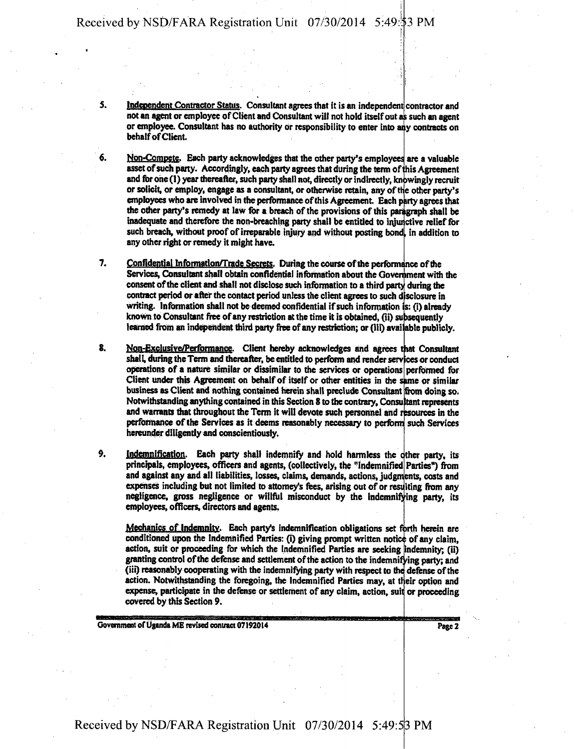**5.** 

**6.** 

**Independent Contractor Status.** Consultant agrees that it is an independent contractor and **not an agent or employee of Client and Consultant will not hold itself out a; such an agent**  or employee. Consultant has no authority or responsibility to enter into any contracts on **behaifofCiient.** 

**Non-Compete. Each party acknowledges that the other party's employees are a valuable asset of such party. Accordingly, each party agrees that during the term of ^his Agreement**  and for one (1) year thereafter, such party shall not, directly or indirectly, knowingly recruit **or solicit, or employ, engage as a consultant, or otherwise retain, any of the other party's**  employees who are involved in the performance of this Agreement. Each party agrees that **the other party's remedy at law for a breach of the provisions of this paragraph shall be**  inadequate and therefore the non-breaching party shall be entitled to injunctive relief for such breach, without proof of irreparable injury and without posting bond, in addition to **any other right or remedy it might have.** 

 $7.$ Confidential Information/Trade Secrets. During the course of the performance of the Services, Consultant shall obtain confidential information about the Government with the consent of the client and shall not disclose such information to a third party during the contract period or after the contact period unless the client agrees to such disclosure in **writing. Information shall not be deemed confidential if such information : (i) already**  known to Consultant free of any restriction at the time it is obtained, (ii) subsequently learned from an independent third party free of any restriction; or (iii) available publicly.

8. Non-Exclusive/Performance. Client hereby acknowledges and agrees that Consultant shall, during the Term and thereafter, be entitled to perform and render services or conduct **operations of a nature similar or dissimilar to the services or operations performed for**  Client under this Agreement on behalf of itself or other entities in the same or similar **business as Client and nothing contained herein shall preclude Consultant from doing so. Notwithstanding anything contained in this Section 8 to the contrary, Consu tant represents and warrants that throughout the Term it will devote such personnel and resources in the performance of the Services as it deems reasonably necessary to perform such Services hereunder diligently and conscientiously.** 

**9. Indemnification. Each party shall indemnify and hold harmless the cither party, its principals, employees, officers and agents, (collectively, the "Indemnified Parties'') from and against any and all liabilities, losses, claims, demands, actions, judgments, costs and expenses including but not limited to attorney's fees, arising out of or resulting from any negligence, gross negligence or willful misconduct by the indemnifying party, its employees, officers, directors and agents.** 

**Mechanics of Indemnity. Each party's indemnification obligations set fbrth herein are**  conditioned upon the Indemnified Parties: (i) giving prompt written notice of any claim, **action, suit or proceeding for which the Indemnified Parties are seeking ndemnity, (ii) granting control of the defense and settlement of the action to the indemnifying party; and (iii) reasonably cooperating with the indemnifying party with respect to the defense of the**  action. Notwithstanding the foregoing, the Indemnified Parties may, at their option and **expense, participate in the defense or settlement of any claim, action, suit or proceeding covered by this Section 9.** 

**Government of Uganda ME revised contract 07192014** 

**Page 2**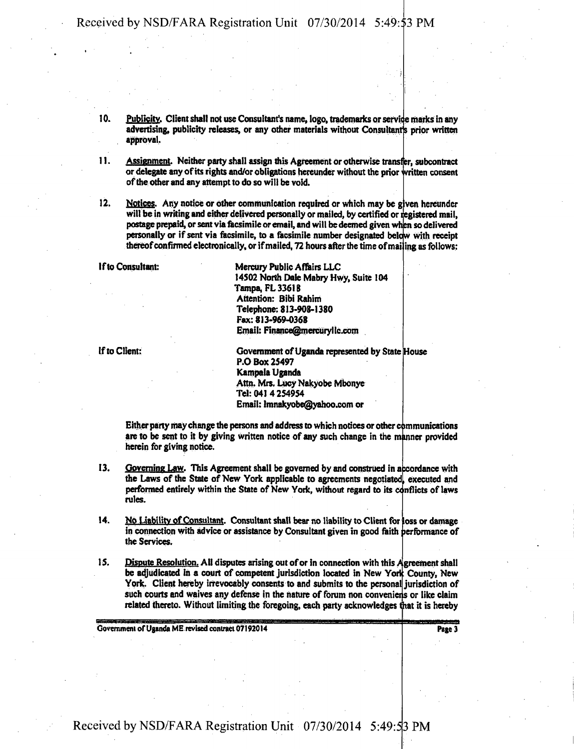**10.**  Publicity. Client shall not use Consultant's name, logo, trademarks or service marks in any **advertising, publicity releases, or any other materials without Consultants prior written approval.** 

**11. Assignment. Neither party shall assign this Agreement or otherwise transfer, subcontract or delegate any of its rights and/or obligations hereunder without the prior written consent of die other and any attempt to do so will be void.** 

**12.**  Notices. Any notice or other communication required or which may be given hereunder will be in writing and either delivered personally or mailed, by certified or registered mail, **postage prepaid, or sent via facsimile or email, and will be deemed given ' when so delivered**  personally or if sent via facsimile, to a facsimile number designated below with receipt thereof confirmed electronically, or if mailed, 72 hours after the time of mailing as follows:

**If to Consultant:** 

**Mercury Public Affairs LLC 14S02 North Dale Mabry Hwy, Suite 104 Tampa, FL 33618**  Attention: Bibi Rahim **Telephone: 813-908-1380 Fax: 813-969-0368 Email: Finance@mercurylic.com** 

**If to Client: House Government of Uganda represented by State House P.O Box 25497 Kampala Uganda Attn. Mrs. Lucy Nakyobe Mbonye Tel: 041 4 254954 Email: lmnakyobe@yahoo.com or** 

**Either party may change the persons and address to which notices or other communications**  are to be sent to it by giving written notice of any such change in the manner provided **herein for giving notice.** 

- **13. Governing Law. This Agreement shall be governed by and construed in accordance with**  the Laws of the State of New York applicable to agreements negotiated, executed and performed entirely within the State of New York, without regard to its conflicts of laws **rules.**
- **14. No Liability of Consultant. Consultant shall bear no liability to Client for loss or damage**  in connection with advice or assistance by Consultant given in good faith performance of **the Services.**
- **15. Dispute Resolution.** All disputes arising out of or in connection with this Agreement shall be adjudicated in a court of competent jurisdiction located in New York County, New **York. Client hereby irrevocably consents to and submits to the personal jurisdiction of**  such courts and waives any defense in the nature of forum non conveniens or like claim related thereto. Without limiting the foregoing, each party acknowledges that it is hereby

**Government of Uganda ME revised contract 07192014** 

**Page 3**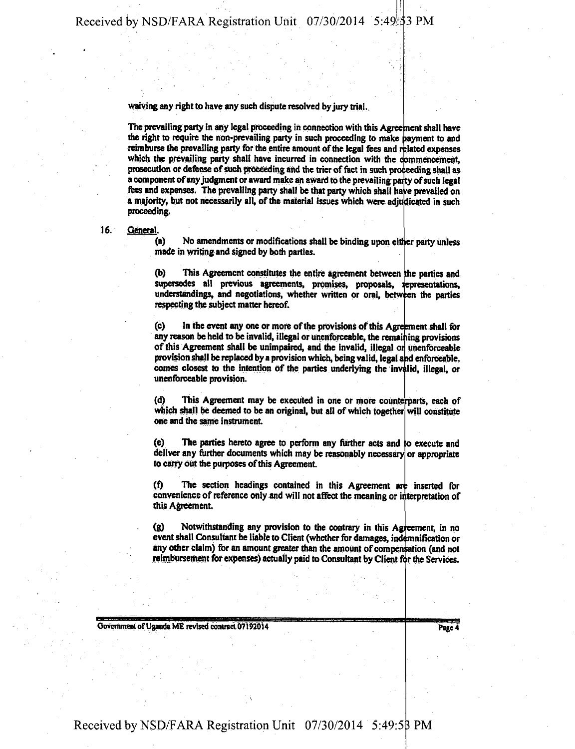**waiving any right to have any such dispute resolved by jury trial..** 

**The prevailing party in any legal proceeding in connection with this Agreement shall have**  the right to require the non-prevailing party in such proceeding to make payment to and reimburse the prevailing party for the entire amount of the legal fees and related expenses **which the prevailing party shall have incurred in connection with the commencement,**  prosecution or defense of such proceeding and the trier of fact in such proceeding shall as **a component of any judgment or award make an award to the prevailing party of such legal** fees and expenses. The prevailing party shall be that party which shall have prevailed on **a majority, but not necessarily all, of the material issues which were adjudicated in such proceeding.** 

#### **16. General.**

**(a) No amendments or modifications shall be binding upon either party unless made in writing and signed by both parties.** 

**(b) This Agreement constitutes the entire agreement between [the parties and**  supersedes all previous agreements, promises, proposals, representations, understandings, and negotiations, whether written or oral, between the parties **respecting the subject matter hereof.** 

**(c) In the event any one or more of the provisions of this Agreement shall for any reason be held to be invalid, illegal or unenforceable, the remaining provisions**  of this Agreement shall be unimpaired, and the invalid, illegal or unenforceable provision shall be replaced by a provision which, being valid, legal and enforceable, **comes closest to the intention of the parties underlying the invalid, illegal, or unenforceable provision.** 

**(d) This Agreement may be executed in one or more counterparts, each of**  which shall be deemed to be an original, but all of which together will constitute one and the same instrument.

**(e) The parties hereto agree to perform any further acts and to execute and deliver any further documents which may be reasonably necessary or appropriate to carry out the pu rposes of this Agreement.** 

**(f) The section headings contained in this Agreement art inserted for convenience of reference only and will not affect the meaning or interpretation of this Agreement.** 

(g) Notwithstanding any provision to the contrary in this Agreement, in no event shall Consultant be liable to Client (whether for damages, indemnification or any other claim) for an amount greater than the amount of compensation (and not reimbursement for expenses) actually paid to Consultant by Client for the Services.

**Covernment of Uganda ME revised contract 07192014** Page 4 **Page 4**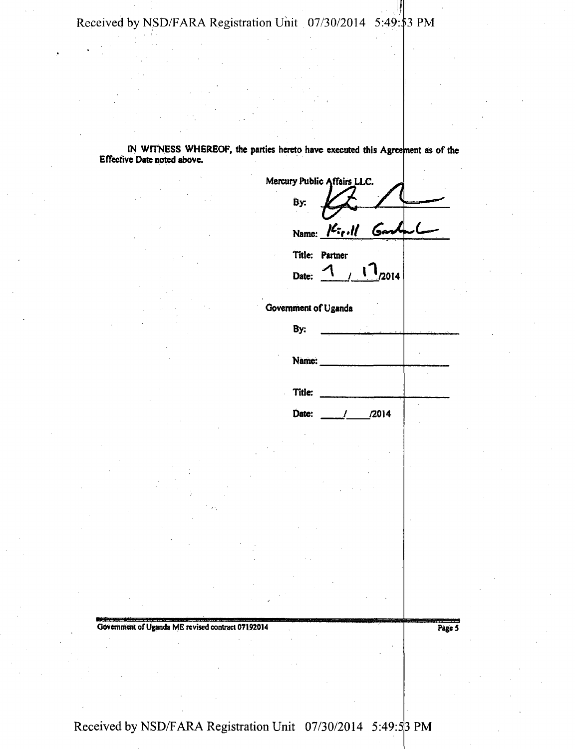**IN WITNESS WHEREOF, the parties hereto have executed this Agreement as of the Effective Date noted above.** 

| Mercury Public Affairs LLC. |                                                                                                              |  |
|-----------------------------|--------------------------------------------------------------------------------------------------------------|--|
| By:                         |                                                                                                              |  |
|                             | Name: $\frac{\partial \mathcal{L}_{\tau_f}, \mathcal{U}}{\partial \mathcal{L}_{\tau_f}, \mathcal{U}}$<br>مڪا |  |
| Title: Partner              |                                                                                                              |  |
| Date:                       | $\begin{bmatrix} 1 \\ 2014 \end{bmatrix}$<br>$\mathcal{L}$                                                   |  |
| Government of Uganda        |                                                                                                              |  |
| By:                         |                                                                                                              |  |
| Name:                       |                                                                                                              |  |
| Title:                      |                                                                                                              |  |
| Date:                       | $\frac{72014}{2015}$<br>$\mathcal{L}$                                                                        |  |
|                             |                                                                                                              |  |
|                             |                                                                                                              |  |
|                             |                                                                                                              |  |
|                             |                                                                                                              |  |

**Government of Uganda ME revised contract 07192014** Page 5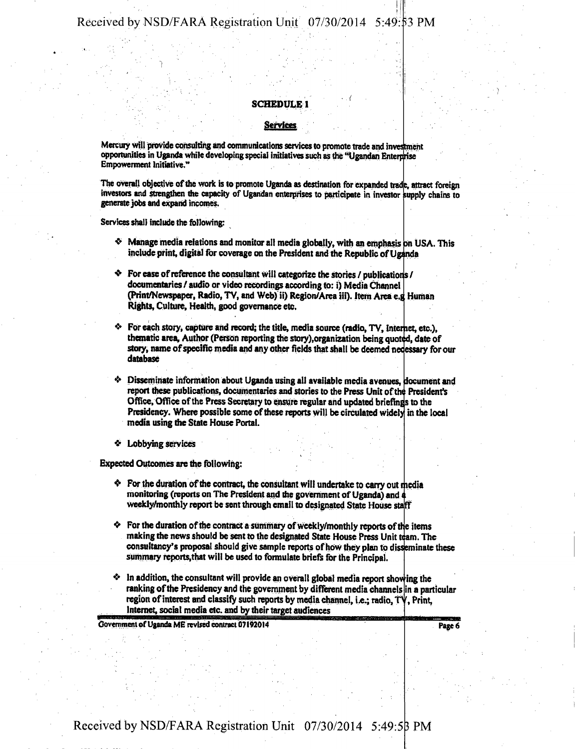### **SCHEDULE 1**

#### **Services**

**Mercury will provide consulting and communications services to promote trade and investment**  opportunities in Uganda while developing special initiatives such as the "Ugandan Enterprise **Empowerment Initiative."** 

The overall objective of the work is to promote Uganda as destination for expanded trade, attract foreign **investors and strengthen the capacity of Ugandan enterprises to participate in investor supply chains to generate jobs and expand incomes.** 

**Services shall include the following:** 

- **Manage media relations and monitor all media globally, with an emphasis on USA. This**  include print, digital for coverage on the President and the Republic of Uganda
- **For ease of reference the consultant will categorize the stories/publications/ documentaries / audio or video recordings according to: i) Media Channel (Print/Newspaper, Radio, TV, and Web) ii) Region/Area iii). Item Area e.g<sup>1</sup> Human Rights, Culture, Health, good governance etc.**
- For each story, capture and record; the title, media source (radio, TV, Internet, etc.), thematic area, Author (Person reporting the story),organization being quoted, date of story, name of specific media and any other fields that shall be deemed necessary for our<br>detained **database**
- **Disseminate information about Uganda using all available media avenues, document and**  report these publications, documentaries and stories to the Press Unit of the President's Office. Office of the Press Secretary to ensure regular and updated briefings to the Presidency. Where possible some of these reports will be circulated widely in the local **media using the State House Portal.**
- **\* Lobbying services**

**Expected Outcomes are the following:** 

- $\bullet$  For the duration of the contract, the consultant will undertake to carry out media **monitoring (reports on The President and the government of Uganda) and weekly/monthly report be sent through email to designated State House staff**
- **For the duration of the contract a summary of weekly/monthly reports of the items**  making the news should be sent to the designated State House Press Unit team. The **consultancy's proposal should give sample reports of how they plan to disseminate these summary reports,that will be used to formulate briefs for the Principal.**
- $\cdot$  In addition, the consultant will provide an overall global media report showing the **ranking of the Presidency and the government by different media channels in a particular**  region of interest and classify such reports by media channel, i.e.; radio, TV, Print, **Internet, social media etc. and by their target audiences**

**Government of Uganda ME revised contract 07192014** 

**Page 6**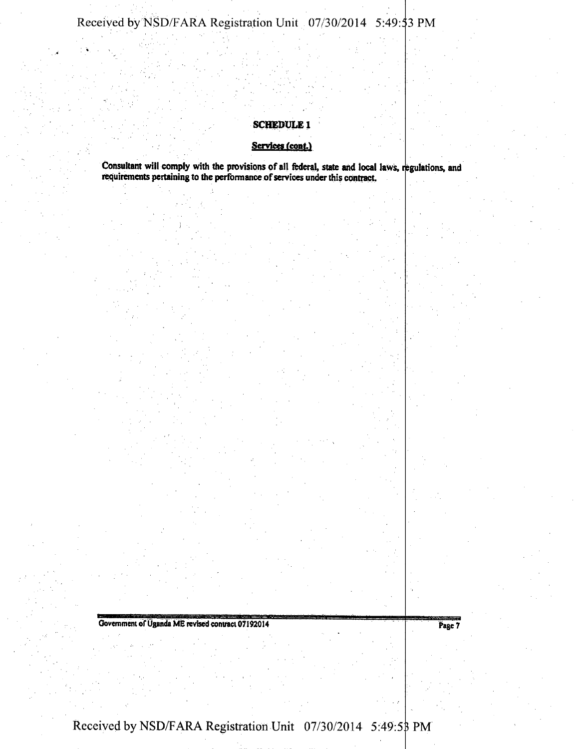### **SCHEDULE 1**

### Services (cont.)

**Consultant will comply with the provisions of all federal, state and local laws, regulations, and requirements pertaining to the performance of services under this contract.** 

**Government of Uganda ME revised contract 07192014** Page 7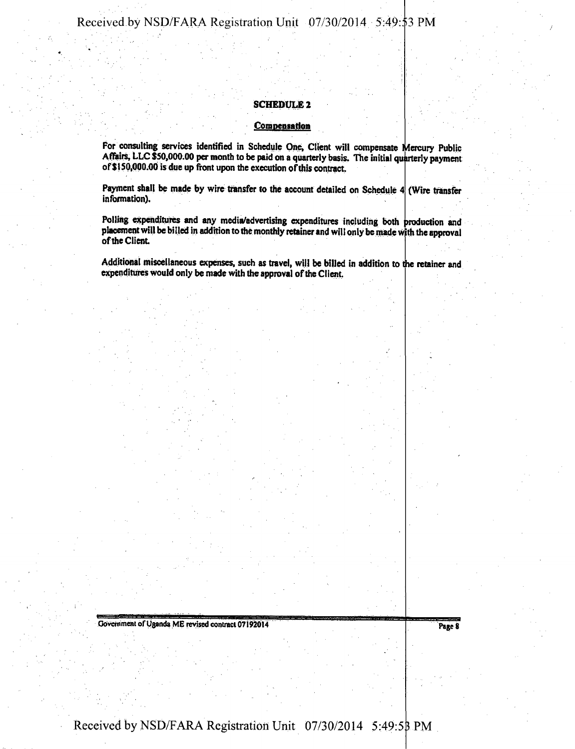### **SCHEDULE2**

### **Compensation**

**For consulting services identified in Schedule One, Client will compensate Mercury Public Affairs, LLC \$50,000.00 per month to be paid on a quarterly basis. The initial quarterly payment of S150,000.00 is due up front upon the execution of this contract.** 

**Payment shall be made by wire transfer to the account detailed on Schedule 4 (Wire transfer**  information).

Polling expenditures and any media/advertising expenditures including both production and placement will be billed in addition to the monthly retainer and will only be made with the approval **of the Client** 

**Additional miscellaneous expenses, such as travel, will be billed in addition to the retainer and expenditures would only be made with the approval of the Client.** 

**Government of Uganda ME revised contract 07192014** Page 8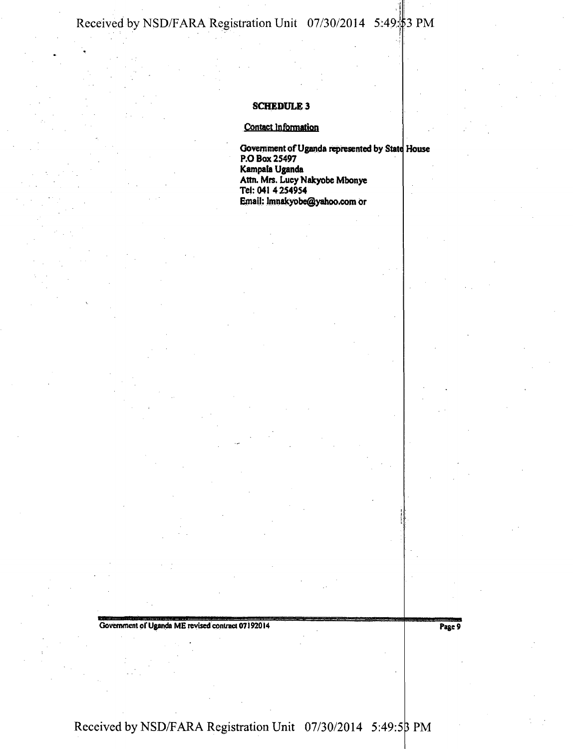### **SCHEDULE 3**

### **Contact Information**

**Govern ment of Uganda represented by State House P.O Box 25497 Kampala Uganda Attn. Mrs. Lucy Nakyobe Mbonye Tel: 0414254954 Email: lmnakyobe@yahoo.com or** 

Government of Uganda ME revised contract 07192014 Page 9